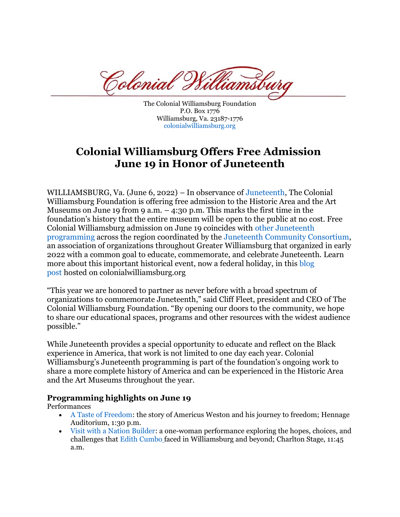Colonial

The Colonial Williamsburg Foundation P.O. Box 1776 Williamsburg, Va. 23187-1776 [colonialwilliamsburg.org](http://www.colonialwilliamsburg.org/)

# **Colonial Williamsburg Offers Free Admission June 19 in Honor of Juneteenth**

WILLIAMSBURG, Va. (June 6, 2022) – In observance of [Juneteenth,](https://www.colonialwilliamsburg.org/explore/special-event/celebrate-juneteenth/) The Colonial Williamsburg Foundation is offering free admission to the Historic Area and the Art Museums on June 19 from 9 a.m.  $-$  4:30 p.m. This marks the first time in the foundation's history that the entire museum will be open to the public at no cost. Free Colonial Williamsburg admission on June 19 coincides with [other Juneteenth](https://www.juneteenthcc.org/events)  [programming](https://www.juneteenthcc.org/events) across the region coordinated by the [Juneteenth Community Consortium,](https://www.juneteenthcc.org/) an association of organizations throughout Greater Williamsburg that organized in early 2022 with a common goal to educate, commemorate, and celebrate Juneteenth. Learn more about this important historical event, now a federal holiday, in this blog [post](https://www.colonialwilliamsburg.org/learn/living-history/what-juneteenth/) hosted on colonialwilliamsburg.org

"This year we are honored to partner as never before with a broad spectrum of organizations to commemorate Juneteenth," said Cliff Fleet, president and CEO of The Colonial Williamsburg Foundation. "By opening our doors to the community, we hope to share our educational spaces, programs and other resources with the widest audience possible."

While Juneteenth provides a special opportunity to educate and reflect on the Black experience in America, that work is not limited to one day each year. Colonial Williamsburg's Juneteenth programming is part of the foundation's ongoing work to share a more complete history of America and can be experienced in the Historic Area and the Art Museums throughout the year.

### **Programming highlights on June 19**

Performances

- [A Taste of Freedom:](https://www.colonialwilliamsburg.org/events/a-taste-of-freedom/) the story of Americus Weston and his journey to freedom; Hennage Auditorium, 1:30 p.m.
- [Visit with a Nation Builder:](https://www.colonialwilliamsburg.org/events/visit-a-nation-builder/) a one-woman performance exploring the hopes, choices, and challenges that [Edith Cumbo](https://www.colonialwilliamsburg.org/explore/nation-builders/edith-cumbo/) faced in Williamsburg and beyond; Charlton Stage, 11:45 a.m.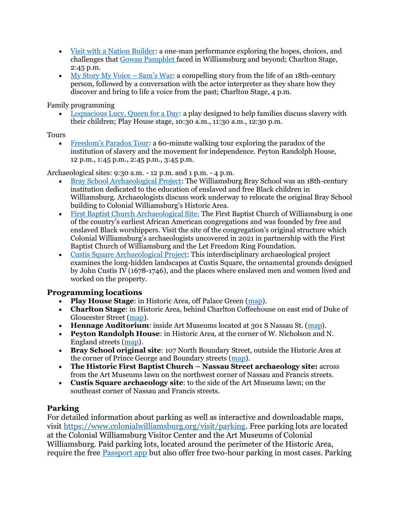- [Visit with a Nation Builder:](https://www.colonialwilliamsburg.org/events/visit-a-nation-builder/) a one-man performance exploring the hopes, choices, and challenges that [Gowan Pamphlet](https://www.colonialwilliamsburg.org/explore/nation-builders/gowan-pamphlet/) faced in Williamsburg and beyond; Charlton Stage, 2:45 p.m.
- [My Story My Voice](https://www.colonialwilliamsburg.org/events/my-story-my-voice/)  Sam's War: a compelling story from the life of an 18th-century person, followed by a conversation with the actor interpreter as they share how they discover and bring to life a voice from the past; Charlton Stage, 4 p.m.

Family programming

• [Loquacious Lucy, Queen for a Day:](https://www.colonialwilliamsburg.org/events/loquacious-lucy-queen-for-a-day/) a play designed to help families discuss slavery with their children; Play House stage, 10:30 a.m., 11:30 a.m., 12:30 p.m.

### **Tours**

• [Freedom's Paradox Tour](https://www.colonialwilliamsburg.org/events/freedoms-paradox/): a 60-minute walking tour exploring the paradox of the institution of slavery and the movement for independence. Peyton Randolph House, 12 p.m., 1:45 p.m., 2:45 p.m., 3:45 p.m.

Archaeological sites: 9:30 a.m. - 12 p.m. and 1 p.m. - 4 p.m.

- [Bray School Archaeological Project:](https://www.colonialwilliamsburg.org/events/bray-school-archaeology-project/) The Williamsburg Bray School was an 18th-century institution dedicated to the education of enslaved and free Black children in Williamsburg. Archaeologists discuss work underway to relocate the original Bray School building to Colonial Williamsburg's Historic Area.
- [First Baptist Church Archaeological Site:](https://www.colonialwilliamsburg.org/events/first-baptist-church-archaeology-project/) The First Baptist Church of Williamsburg is one of the country's earliest African American congregations and was founded by free and enslaved Black worshippers. Visit the site of the congregation's original structure which Colonial Williamsburg's archaeologists uncovered in 2021 in partnership with the First Baptist Church of Williamsburg and the Let Freedom Ring Foundation.
- [Custis Square Archaeological Project:](https://www.colonialwilliamsburg.org/events/celebrate-juneteenth-at-custis-square/) This interdisciplinary archaeological project examines the long-hidden landscapes at Custis Square, the ornamental grounds designed by John Custis IV (1678-1746), and the places where enslaved men and women lived and worked on the property.

## **Programming locations**

- **Play House Stage**: in Historic Area, off Palace Green [\(map\)](https://www.google.com/maps/place/212+Palace+Green+St,+Williamsburg,+VA+23185/@37.2722801,-76.7040038,17z/data=!3m1!4b1!4m5!3m4!1s0x89b08908d63690ed:0x384fc4dee75abf83!8m2!3d37.2722801!4d-76.7018151).
- **Charlton Stage**: in Historic Area, behind Charlton Coffeehouse on east end of Duke of Gloucester Street [\(map\)](https://www.google.com/maps/place/R.+Charlton).
- **Hennage Auditorium**: inside Art Museums located at 301 S Nassau St. [\(map\)](https://www.google.com/maps/place/The+Art+Museums+of+Colonial+Williamsburg/@37.270452,-76.7041559,17.52z/data=!4m12!1m6!3m5!1s0x89b08973567c8dd5:0x3ab2bbca8dd805e0!2sFirst+Baptist+Church!8m2!3d37.274174!4d-76.711062!3m4!1s0x89b08909f8f41529:0xd3601e5cbf3fb28d!8m2!3d37.2680161!4d-76.7046808).
- **Peyton Randolph House**: in Historic Area, at the corner of W. Nicholson and N. England streets [\(map\)](https://www.google.com/maps/place/Peyton+Randolph+House/@37.2724027,-76.7021197,17z/data=!4m12!1m6!3m5!1s0x89b089064c0a7c5f:0x631d53755a33edd6!2sPeyton+Randolph+House!8m2!3d37.2723996!4d-76.7000029!3m4!1s0x89b089064c0a7c5f:0x631d53755a33edd6!8m2!3d37.2723996!4d-76.7000029).
- **Bray School original site**: 107 North Boundary Street, outside the Historic Area at the corner of Prince George and Boundary streets [\(map\)](https://www.google.com/maps/place/Brown+Hall,+107+N+Boundary+St,+Williamsburg,+VA+23185/@37.2720038,-76.7092606,17z/data=!3m1!4b1!4m5!3m4!1s0x89b0890ba36d8cdf:0x3ff15fbf2810e1d0!8m2!3d37.2720038!4d-76.7070719).
- **The Historic First Baptist Church – Nassau Street archaeology site:** across from the Art Museums lawn on the northwest corner of Nassau and Francis streets.
- **Custis Square archaeology site**: to the side of the Art Museums lawn; on the southeast corner of Nassau and Francis streets.

## **Parking**

For detailed information about parking as well as interactive and downloadable maps, visit [https://www.colonialwilliamsburg.org/visit/parking.](https://www.colonialwilliamsburg.org/visit/parking) Free parking lots are located at the Colonial Williamsburg Visitor Center and the Art Museums of Colonial Williamsburg. Paid parking lots, located around the perimeter of the Historic Area, require the free [Passport app](https://www.passportparking.com/) but also offer free two-hour parking in most cases. Parking